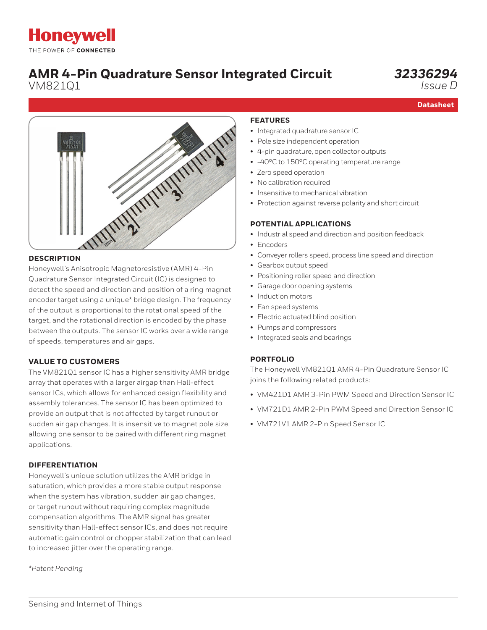# **AMR 4-Pin Quadrature Sensor Integrated Circuit**

VM821Q1

## *32336294*

*Issue D*

**Datasheet**



### **DESCRIPTION**

Honeywell's Anisotropic Magnetoresistive (AMR) 4-Pin Quadrature Sensor Integrated Circuit (IC) is designed to detect the speed and direction and position of a ring magnet encoder target using a unique\* bridge design. The frequency of the output is proportional to the rotational speed of the target, and the rotational direction is encoded by the phase between the outputs. The sensor IC works over a wide range of speeds, temperatures and air gaps.

### **VALUE TO CUSTOMERS**

The VM821Q1 sensor IC has a higher sensitivity AMR bridge array that operates with a larger airgap than Hall-effect sensor ICs, which allows for enhanced design flexibility and assembly tolerances. The sensor IC has been optimized to provide an output that is not affected by target runout or sudden air gap changes. It is insensitive to magnet pole size, allowing one sensor to be paired with different ring magnet applications.

### **DIFFERENTIATION**

Honeywell's unique solution utilizes the AMR bridge in saturation, which provides a more stable output response when the system has vibration, sudden air gap changes, or target runout without requiring complex magnitude compensation algorithms. The AMR signal has greater sensitivity than Hall-effect sensor ICs, and does not require automatic gain control or chopper stabilization that can lead to increased jitter over the operating range.

*\*Patent Pending*

### **FEATURES**

- Integrated quadrature sensor IC
- Pole size independent operation
- 4-pin quadrature, open collector outputs
- -40°C to 150°C operating temperature range
- Zero speed operation
- No calibration required
- Insensitive to mechanical vibration
- Protection against reverse polarity and short circuit

### **POTENTIAL APPLICATIONS**

- Industrial speed and direction and position feedback
- Encoders
- Conveyer rollers speed, process line speed and direction
- Gearbox output speed
- Positioning roller speed and direction
- Garage door opening systems
- Induction motors
- Fan speed systems
- Electric actuated blind position
- Pumps and compressors
- Integrated seals and bearings

### **[PORTFOLIO](https://sensing.honeywell.com/sensors/heavy-duty-pressure-sensors-and-transducers/PX3-series)**

The Honeywell VM821Q1 AMR 4-Pin Quadrature Sensor IC joins the following related products:

- VM421D1 AMR 3-Pin PWM Speed and Direction Sensor IC
- VM721D1 AMR 2-Pin PWM Speed and Direction Sensor IC
- VM721V1 AMR 2-Pin Speed Sensor IC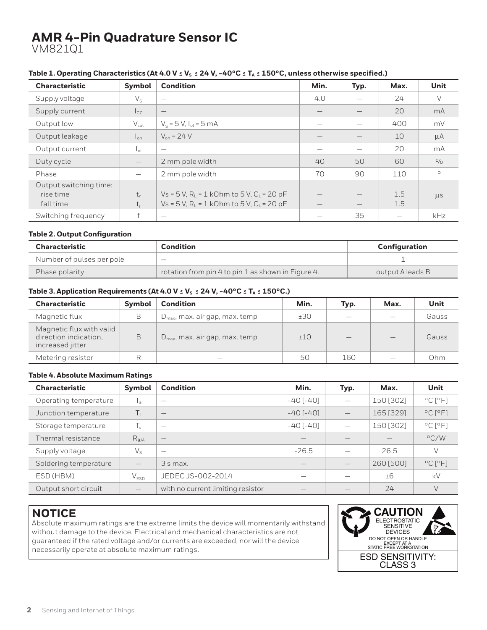## **AMR 4-Pin Quadrature Sensor IC** VM821Q1

| <b>Characteristic</b>  | Symbol            | <b>Condition</b>                           | Min.                     | Typ.                            | Max. | Unit    |
|------------------------|-------------------|--------------------------------------------|--------------------------|---------------------------------|------|---------|
| Supply voltage         | $V_{S}$           |                                            | 4.0                      | $\overline{\phantom{0}}$        | 24   | V       |
| Supply current         | $I_{\text{CC}}$   | $\qquad \qquad -$                          |                          |                                 | 20   | mA      |
| Output low             | $V_{\rm sat}$     | $V_s = 5 V, I_{ol} = 5 mA$                 | $\overline{\phantom{a}}$ |                                 | 400  | mV      |
| Output leakage         | $l_{\text{oh}}$   | $V_{\rm oh} = 24 V$                        |                          |                                 | 10   | $\mu A$ |
| Output current         | l <sub>ot</sub>   |                                            |                          | $\overline{\phantom{0}}$        | 20   | mA      |
| Duty cycle             | $\qquad \qquad -$ | 2 mm pole width                            | 40                       | 50                              | 60   | 0/0     |
| Phase                  |                   | 2 mm pole width                            | 70                       | 90                              | 110  | $\circ$ |
| Output switching time: |                   |                                            |                          |                                 |      |         |
| rise time              | $t_{r}$           | $Vs = 5 V, R1 = 1 kOhm to 5 V, C1 = 20 pF$ |                          | $\hspace{0.1mm}-\hspace{0.1mm}$ | 1.5  | $\mu$ s |
| fall time              | $t_{\epsilon}$    | $Vs = 5 V, R1 = 1 kOhm to 5 V, C1 = 20 pF$ | $\overline{\phantom{a}}$ |                                 | 1.5  |         |
| Switching frequency    |                   |                                            |                          | 35                              |      | kHz     |

### Table 1. Operating Characteristics (At 4.0 V  $\leq$  V<sub>s</sub>  $\leq$  24 V, -40°C  $\leq$  T<sub>A</sub>  $\leq$  150°C, unless otherwise specified.)

### **Table 2. Output Configuration**

| <b>Characteristic</b>     | <b>Condition</b>                                   | Configuration    |
|---------------------------|----------------------------------------------------|------------------|
| Number of pulses per pole | $\overline{\phantom{a}}$                           |                  |
| Phase polarity            | rotation from pin 4 to pin 1 as shown in Figure 4. | output A leads B |

### Table 3. Application Requirements (At 4.0 V  $\leq$  V<sub>s</sub>  $\leq$  24 V, -40°C  $\leq$  T<sub>A</sub>  $\leq$  150°C.)

| <b>Characteristic</b>                                                 | <b>Symbol</b> | <b>Condition</b>                           | Min.  | Typ.                     | Max. | Unit  |
|-----------------------------------------------------------------------|---------------|--------------------------------------------|-------|--------------------------|------|-------|
| Magnetic flux                                                         | В             | $D_{\text{max}}$ , max. air gap, max. temp | ±30   | $\overline{\phantom{a}}$ | -    | Gauss |
| Magnetic flux with valid<br>direction indication.<br>increased jitter | B             | $D_{\text{max}}$ , max. air gap, max. temp | $+10$ | $\overline{\phantom{a}}$ |      | Gauss |
| Metering resistor                                                     |               |                                            | 50    | 160                      |      | Ohm   |

#### **Table 4. Absolute Maximum Ratings**

| <b>Characteristic</b> | Symbol                    | <b>Condition</b>                  | Min.            | Typ.            | Max.      | Unit                         |
|-----------------------|---------------------------|-----------------------------------|-----------------|-----------------|-----------|------------------------------|
| Operating temperature | $\mathsf{T}_{\mathsf{a}}$ | $\overline{\phantom{a}}$          | $-40$ [ $-40$ ] |                 | 150 [302] | $^{\circ}$ C [ $^{\circ}$ F] |
| Junction temperature  | T,                        |                                   | $-40$ [ $-40$ ] | $\qquad \qquad$ | 165 [329] | $^{\circ}$ C $[^{\circ}$ F]  |
| Storage temperature   | $T_{\rm s}$               | -                                 | $-40$ [ $-40$ ] |                 | 150 [302] | $^{\circ}$ C [ $^{\circ}$ F] |
| Thermal resistance    | $R_{\theta JA}$           |                                   |                 |                 |           | $\rm ^{\circ}$ C/W           |
| Supply voltage        | $V_{S}$                   | -                                 | $-26.5$         |                 | 26.5      |                              |
| Soldering temperature |                           | 3 s max.                          |                 |                 | 260 [500] | $^{\circ}$ C $^{\circ}$ F1   |
| ESD (HBM)             | $V_{ESD}$                 | JEDEC JS-002-2014                 |                 |                 | ±6        | kV                           |
| Output short circuit  |                           | with no current limiting resistor |                 |                 | 24        |                              |

### **NOTICE**

Absolute maximum ratings are the extreme limits the device will momentarily withstand without damage to the device. Electrical and mechanical characteristics are not guaranteed if the rated voltage and/or currents are exceeded, nor will the device necessarily operate at absolute maximum ratings.

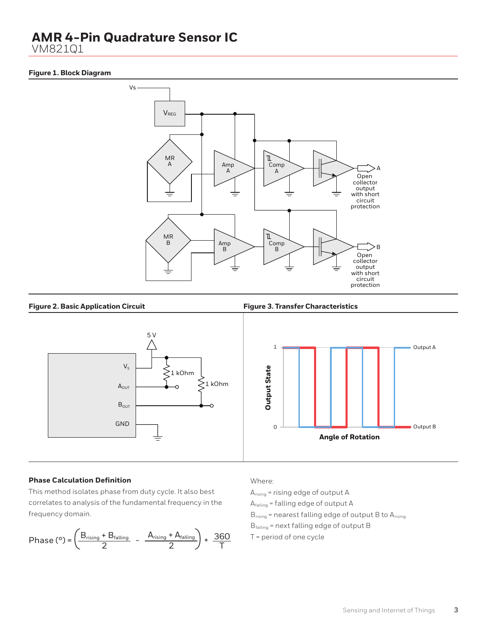## **AMR 4-Pin Quadrature Sensor IC**

VM821Q1

### **Figure 1. Block Diagram**



#### **Figure 2. Basic Application Circuit Figure 3. Transfer Characteristics**





#### **Phase Calculation Definition**

This method isolates phase from duty cycle. It also best correlates to analysis of the fundamental frequency in the frequency domain.

$$
\text{Phase } (^{\circ}) = \left( \frac{B_{\text{rising}} + B_{\text{falling}}}{2} - \frac{A_{\text{rising}} + A_{\text{falling}}}{2} \right) \star \frac{360}{T}
$$

Where:

 $A_{rising}$  = rising edge of output A Afalling = falling edge of output A B<sub>rising</sub> = nearest falling edge of output B to A<sub>rising</sub> Bfalling = next falling edge of output B T = period of one cycle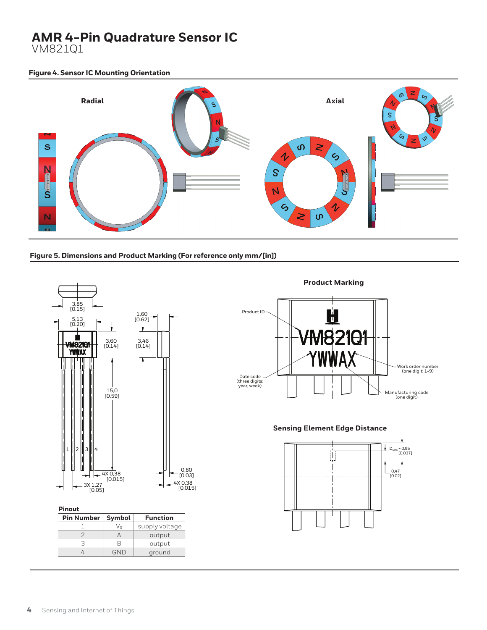## **AMR 4-Pin Quadrature Sensor IC**

VM821Q1

### **Figure 4. Sensor IC Mounting Orientation**